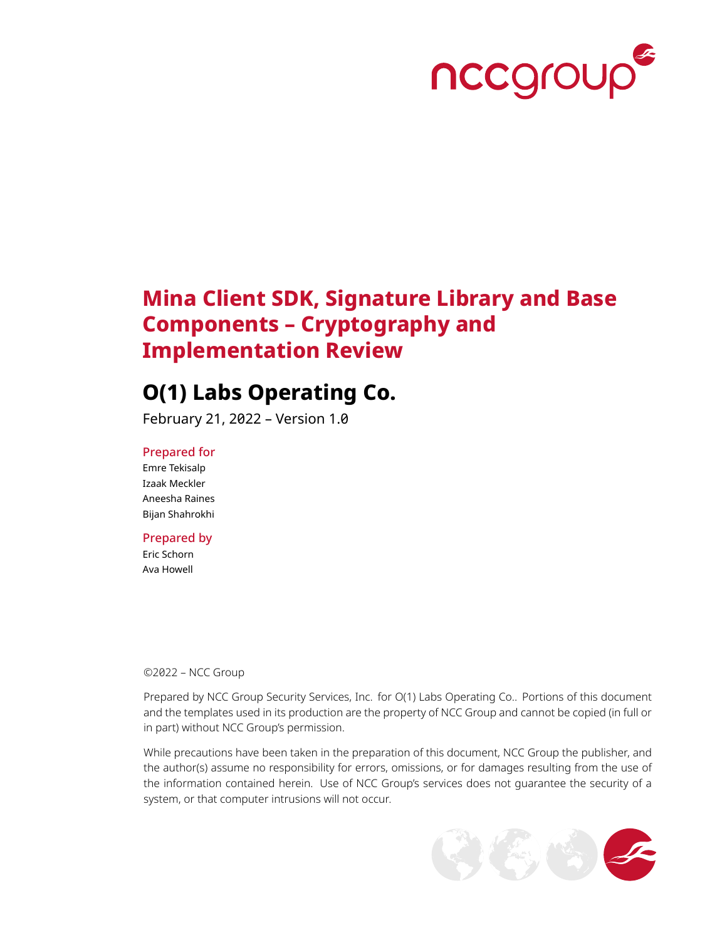

# **Mina Client SDK, Signature Library and Base Components – Cryptography and Implementation Review**

# **O(1) Labs Operating Co.**

February 21, 2022 – Version 1.0

### Prepared for

Emre Tekisalp Izaak Meckler Aneesha Raines Bijan Shahrokhi

## Prepared by

Eric Schorn Ava Howell

©2022 – NCC Group

Prepared by NCC Group Security Services, Inc. for O(1) Labs Operating Co.. Portions of this document and the templates used in its production are the property of NCC Group and cannot be copied (in full or in part) without NCC Group's permission.

While precautions have been taken in the preparation of this document, NCC Group the publisher, and the author(s) assume no responsibility for errors, omissions, or for damages resulting from the use of the information contained herein. Use of NCC Group's services does not guarantee the security of a system, or that computer intrusions will not occur.

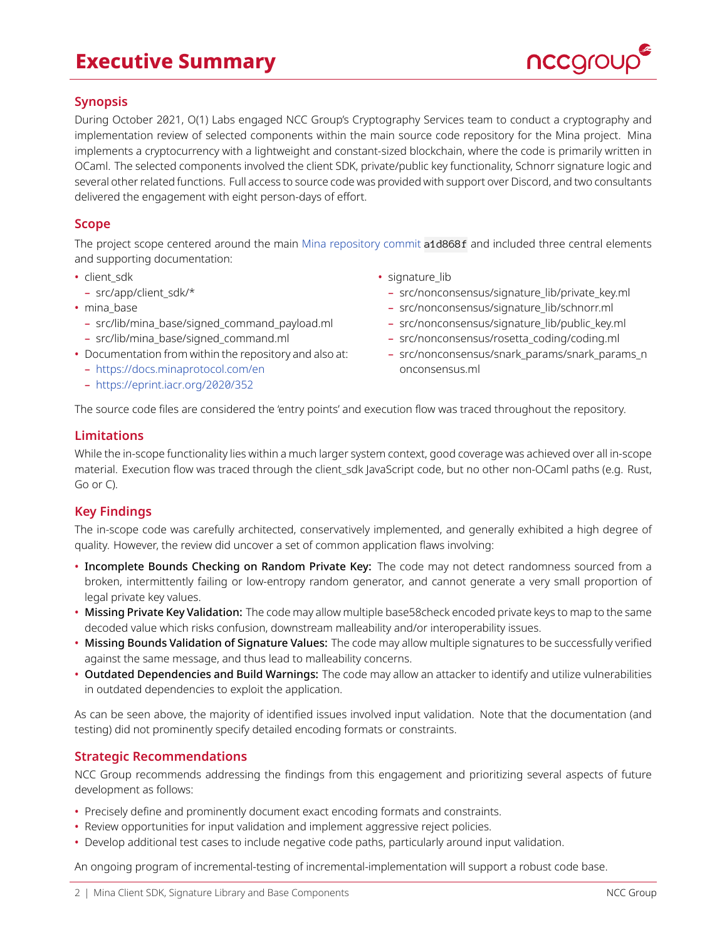# **Executive Summary**



# **Synopsis**

During October 2021, O(1) Labs engaged NCC Group's Cryptography Services team to conduct a cryptography and implementation review of selected components within the main source code repository for the Mina project. Mina implements a cryptocurrency with a lightweight and constant-sized blockchain, where the code is primarily written in OCaml. The selected components involved the client SDK, private/public key functionality, Schnorr signature logic and several other related functions. Full access to source code was provided with support over Discord, and two consultants delivered the engagement with eight person-days of effort.

## **Scope**

The project scope centered around the main [Mina repository commit](https://github.com/MinaProtocol/mina/tree/a1d868f303b88e4d28faeddcd76e95314d978332) a1d868f and included three central elements and supporting documentation:

- client sdk
- src/app/client\_sdk/\*
- mina\_base
	- src/lib/mina\_base/signed\_command\_payload.ml
	- src/lib/mina\_base/signed\_command.ml
- Documentation from within the repository and also at:
	- <https://docs.minaprotocol.com/en>
	- <https://eprint.iacr.org/2020/352>
- signature lib
	- src/nonconsensus/signature\_lib/private\_key.ml
	- src/nonconsensus/signature\_lib/schnorr.ml
	- src/nonconsensus/signature\_lib/public\_key.ml
	- src/nonconsensus/rosetta\_coding/coding.ml
	- src/nonconsensus/snark\_params/snark\_params\_n onconsensus.ml

The source code files are considered the 'entry points' and execution flow was traced throughout the repository.

### **Limitations**

While the in-scope functionality lies within a much larger system context, good coverage was achieved over all in-scope material. Execution flow was traced through the client\_sdk JavaScript code, but no other non-OCaml paths (e.g. Rust, Go or C).

## **Key Findings**

The in-scope code was carefully architected, conservatively implemented, and generally exhibited a high degree of quality. However, the review did uncover a set of common application flaws involving:

- Incomplete Bounds Checking on Random Private Key: The code may not detect randomness sourced from a broken, intermittently failing or low-entropy random generator, and cannot generate a very small proportion of legal private key values.
- Missing Private Key Validation: The code may allow multiple base58check encoded private keys to map to the same decoded value which risks confusion, downstream malleability and/or interoperability issues.
- Missing Bounds Validation of Signature Values: The code may allow multiple signatures to be successfully verified against the same message, and thus lead to malleability concerns.
- Outdated Dependencies and Build Warnings: The code may allow an attacker to identify and utilize vulnerabilities in outdated dependencies to exploit the application.

As can be seen above, the majority of identified issues involved input validation. Note that the documentation (and testing) did not prominently specify detailed encoding formats or constraints.

## **Strategic Recommendations**

NCC Group recommends addressing the findings from this engagement and prioritizing several aspects of future development as follows:

- Precisely define and prominently document exact encoding formats and constraints.
- Review opportunities for input validation and implement aggressive reject policies.
- Develop additional test cases to include negative code paths, particularly around input validation.

An ongoing program of incremental-testing of incremental-implementation will support a robust code base.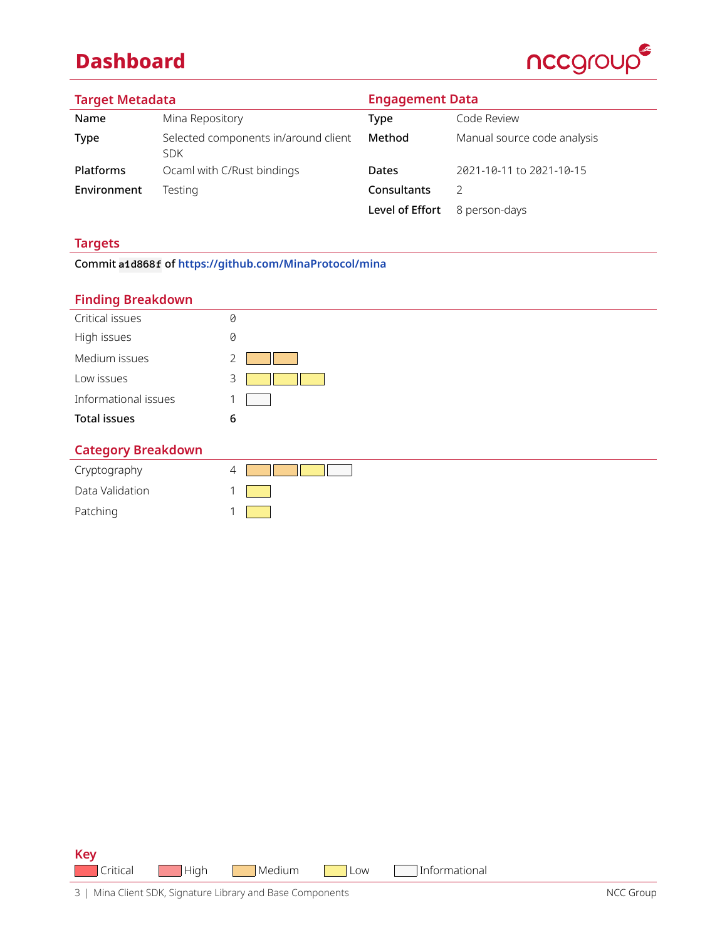# **Dashboard**



| <b>Target Metadata</b> |                                                    | <b>Engagement Data</b> |                             |  |
|------------------------|----------------------------------------------------|------------------------|-----------------------------|--|
| Name                   | Mina Repository                                    | Type                   | Code Review                 |  |
| Type                   | Selected components in/around client<br><b>SDK</b> | Method                 | Manual source code analysis |  |
| Platforms              | Ocaml with C/Rust bindings                         | Dates                  | 2021-10-11 to 2021-10-15    |  |
| Environment            | Testing                                            | Consultants            | 2                           |  |
|                        |                                                    | Level of Effort        | 8 person-days               |  |

# **Targets**

Commit **a1d868f** of **<https://github.com/MinaProtocol/mina>**

## **Finding Breakdown**

| -                         |           |
|---------------------------|-----------|
| Critical issues           | 0         |
| High issues               | 0         |
| Medium issues             |           |
| Low issues                | 3         |
| Informational issues      |           |
| <b>Total issues</b>       | 6         |
| <b>Category Breakdown</b> |           |
| Caintearanhy              | $\Lambda$ |

| Cryptography    |  |
|-----------------|--|
| Data Validation |  |
| Patching        |  |

**Key** Critical High Medium Low Informational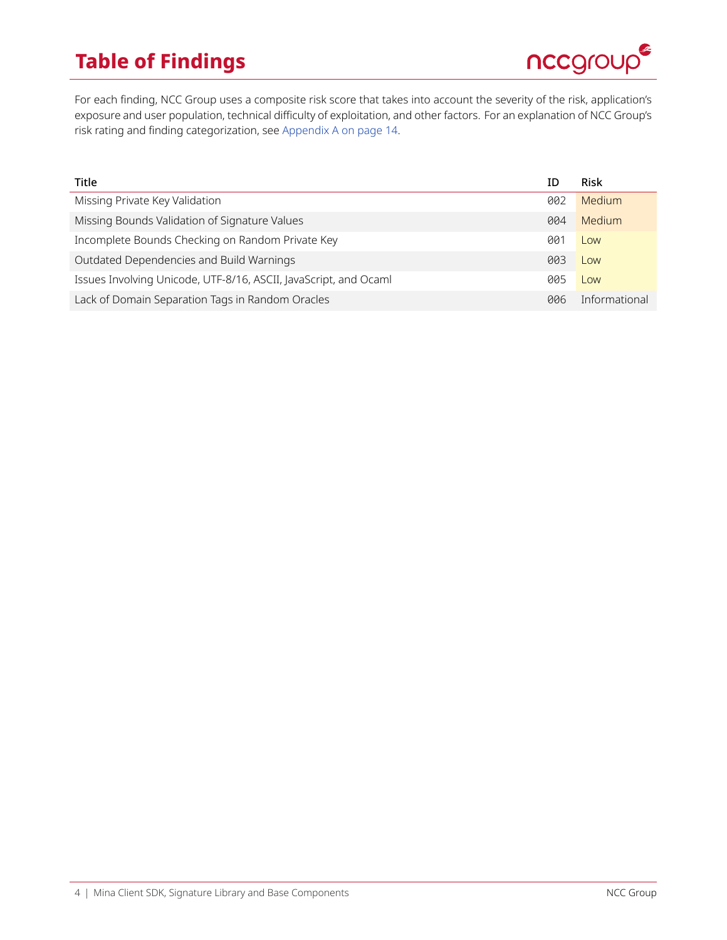# **Table of Findings**



For each finding, NCC Group uses a composite risk score that takes into account the severity of the risk, application's exposure and user population, technical difficulty of exploitation, and other factors. For an explanation of NCC Group's risk rating and finding categorization, see [Appendix A on page 14](#page-13-0).

| Title                                                            | ID  | Risk          |
|------------------------------------------------------------------|-----|---------------|
| Missing Private Key Validation                                   | 002 | Medium        |
| Missing Bounds Validation of Signature Values                    | 004 | Medium        |
| Incomplete Bounds Checking on Random Private Key                 | 001 | Low           |
| Outdated Dependencies and Build Warnings                         | 003 | Low           |
| Issues Involving Unicode, UTF-8/16, ASCII, JavaScript, and Ocaml | 005 | Low           |
| Lack of Domain Separation Tags in Random Oracles                 | 006 | Informational |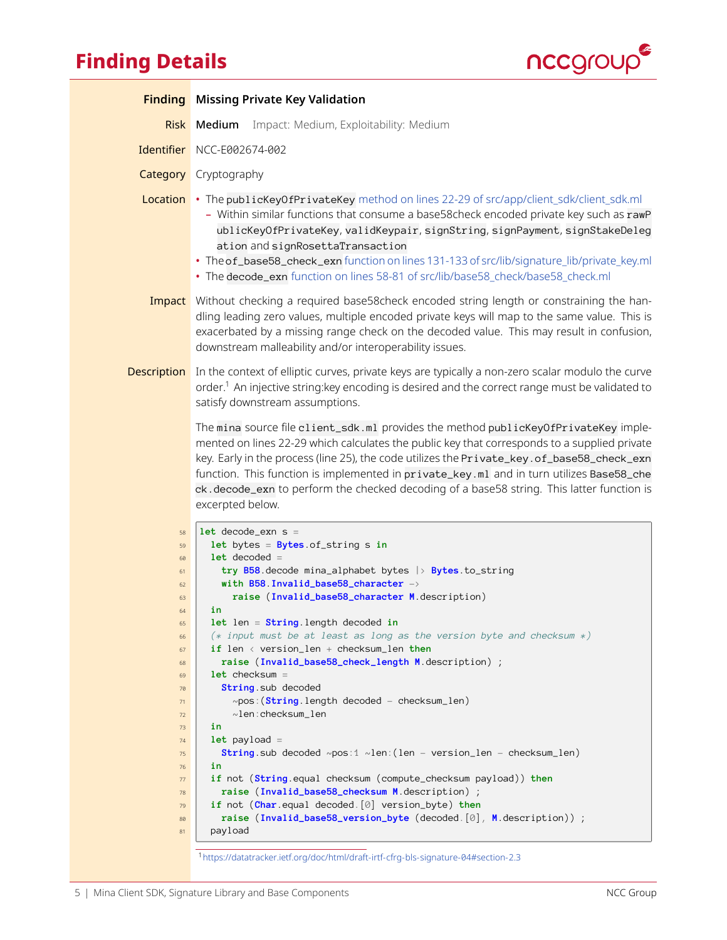# <span id="page-4-0"></span>**Finding Details**



|                                                                                                                                              | <b>Finding</b> Missing Private Key Validation                                                                                                                                                                                                                                                                                                                                                                                                                                                                                                                                                                                                                                                                                                                                                                                                                                                                                                                                        |
|----------------------------------------------------------------------------------------------------------------------------------------------|--------------------------------------------------------------------------------------------------------------------------------------------------------------------------------------------------------------------------------------------------------------------------------------------------------------------------------------------------------------------------------------------------------------------------------------------------------------------------------------------------------------------------------------------------------------------------------------------------------------------------------------------------------------------------------------------------------------------------------------------------------------------------------------------------------------------------------------------------------------------------------------------------------------------------------------------------------------------------------------|
|                                                                                                                                              | Risk Medium<br>Impact: Medium, Exploitability: Medium                                                                                                                                                                                                                                                                                                                                                                                                                                                                                                                                                                                                                                                                                                                                                                                                                                                                                                                                |
|                                                                                                                                              | Identifier NCC-E002674-002                                                                                                                                                                                                                                                                                                                                                                                                                                                                                                                                                                                                                                                                                                                                                                                                                                                                                                                                                           |
|                                                                                                                                              | <b>Category</b> Cryptography                                                                                                                                                                                                                                                                                                                                                                                                                                                                                                                                                                                                                                                                                                                                                                                                                                                                                                                                                         |
|                                                                                                                                              | Location • The publicKeyOfPrivateKey method on lines 22-29 of src/app/client_sdk/client_sdk.ml<br>- Within similar functions that consume a base58check encoded private key such as rawP<br>ublicKeyOfPrivateKey, validKeypair, signString, signPayment, signStakeDeleg<br>ation and signRosettaTransaction<br>. The of_base58_check_exn function on lines 131-133 of src/lib/signature_lib/private_key.ml<br>• The decode_exn function on lines 58-81 of src/lib/base58_check/base58_check.ml                                                                                                                                                                                                                                                                                                                                                                                                                                                                                       |
|                                                                                                                                              | Impact Without checking a required base58check encoded string length or constraining the han-<br>dling leading zero values, multiple encoded private keys will map to the same value. This is<br>exacerbated by a missing range check on the decoded value. This may result in confusion,<br>downstream malleability and/or interoperability issues.                                                                                                                                                                                                                                                                                                                                                                                                                                                                                                                                                                                                                                 |
| <b>Description</b>                                                                                                                           | In the context of elliptic curves, private keys are typically a non-zero scalar modulo the curve<br>order. <sup>1</sup> An injective string: key encoding is desired and the correct range must be validated to<br>satisfy downstream assumptions.                                                                                                                                                                                                                                                                                                                                                                                                                                                                                                                                                                                                                                                                                                                                   |
|                                                                                                                                              | The mina source file client_sdk.ml provides the method publicKeyOfPrivateKey imple-<br>mented on lines 22-29 which calculates the public key that corresponds to a supplied private<br>key. Early in the process (line 25), the code utilizes the Private_key.of_base58_check_exn<br>function. This function is implemented in private_key.ml and in turn utilizes Base58_che<br>ck.decode_exn to perform the checked decoding of a base58 string. This latter function is<br>excerpted below.                                                                                                                                                                                                                                                                                                                                                                                                                                                                                       |
| 58<br>59<br>60<br>61<br>62<br>63<br>64<br>65<br>66<br>67<br>68<br>69<br>70<br>71<br>72<br>73<br>74<br>75<br>76<br>77<br>78<br>79<br>80<br>81 | $let decode\_exn s =$<br>let bytes = $Bytes.of\_string s in$<br>$let decoded =$<br>try B58 decode mina_alphabet bytes $\rightarrow$ Bytes to_string<br>with B58 Invalid_base58_character -><br>raise (Invalid_base58_character M.description)<br>in<br>let len = String. length decoded in<br>$(*)$ input must be at least as long as the version byte and checksum $*)$<br>if len < version_len + checksum_len then<br>raise (Invalid_base58_check_length M description) ;<br>$let$ checksum =<br>String sub decoded<br>$\sim$ pos: (String.length decoded - checksum_len)<br>$\sim$ len:checksum_len<br>in<br>$let$ payload =<br>String sub decoded $\sim$ pos:1 $\sim$ len: (len - version_len - checksum_len)<br>in<br>if not (String.equal checksum (compute_checksum payload)) then<br>raise (Invalid_base58_checksum M.description) ;<br>if not (Char.equal decoded. [0] version_byte) then<br>raise (Invalid_base58_version_byte (decoded. [0], M.description)) ;<br>payload |

<span id="page-4-1"></span><sup>1</sup><https://datatracker.ietf.org/doc/html/draft-irtf-cfrg-bls-signature-04#section-2.3>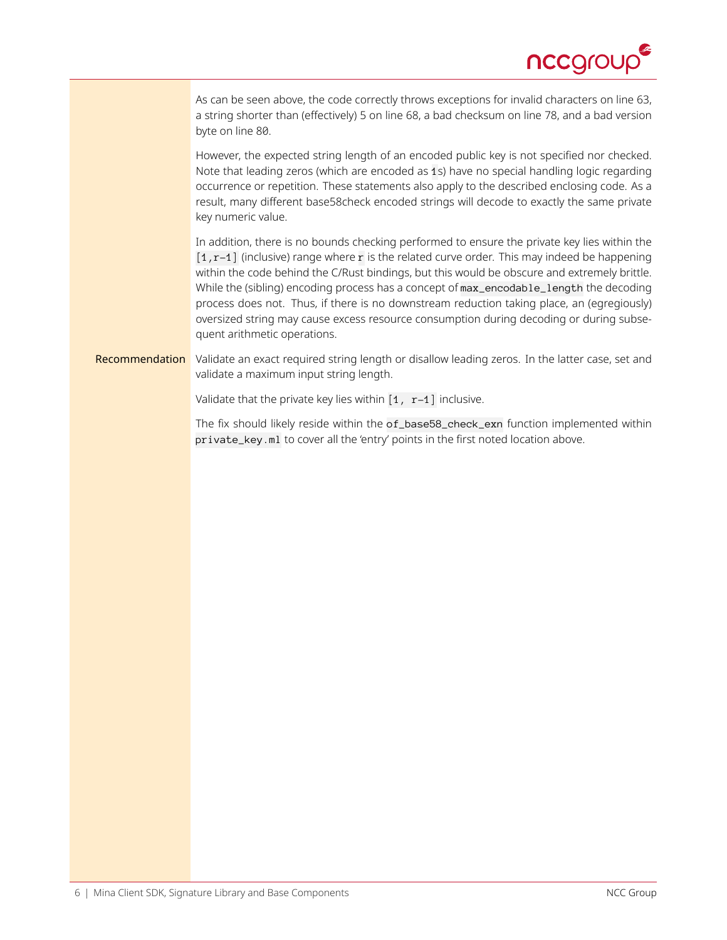

As can be seen above, the code correctly throws exceptions for invalid characters on line 63, a string shorter than (effectively) 5 on line 68, a bad checksum on line 78, and a bad version byte on line 80.

However, the expected string length of an encoded public key is not specified nor checked. Note that leading zeros (which are encoded as 1s) have no special handling logic regarding occurrence or repetition. These statements also apply to the described enclosing code. As a result, many different base58check encoded strings will decode to exactly the same private key numeric value.

In addition, there is no bounds checking performed to ensure the private key lies within the  $[1, r-1]$  (inclusive) range where r is the related curve order. This may indeed be happening within the code behind the C/Rust bindings, but this would be obscure and extremely brittle. While the (sibling) encoding process has a concept of max\_encodable\_length the decoding process does not. Thus, if there is no downstream reduction taking place, an (egregiously) oversized string may cause excess resource consumption during decoding or during subsequent arithmetic operations.

Recommendation Validate an exact required string length or disallow leading zeros. In the latter case, set and validate a maximum input string length.

Validate that the private key lies within  $\begin{bmatrix} 1 & r-1 \end{bmatrix}$  inclusive.

The fix should likely reside within the of\_base58\_check\_exn function implemented within private\_key.ml to cover all the 'entry' points in the first noted location above.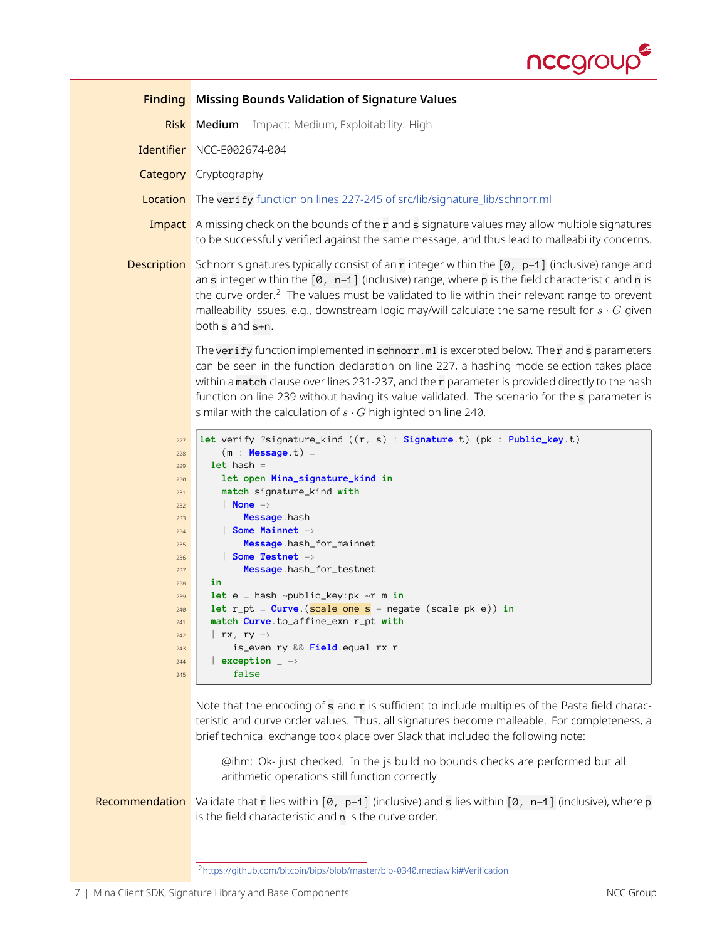

<span id="page-6-1"></span><span id="page-6-0"></span>

| <b>Finding</b>                                                                                                                    | Missing Bounds Validation of Signature Values                                                                                                                                                                                                                                                                                                                                                                                                                                                                                                                                                                                                                                       |  |  |  |
|-----------------------------------------------------------------------------------------------------------------------------------|-------------------------------------------------------------------------------------------------------------------------------------------------------------------------------------------------------------------------------------------------------------------------------------------------------------------------------------------------------------------------------------------------------------------------------------------------------------------------------------------------------------------------------------------------------------------------------------------------------------------------------------------------------------------------------------|--|--|--|
| <b>Risk</b>                                                                                                                       | Impact: Medium, Exploitability: High<br>Medium                                                                                                                                                                                                                                                                                                                                                                                                                                                                                                                                                                                                                                      |  |  |  |
|                                                                                                                                   | Identifier NCC-E002674-004                                                                                                                                                                                                                                                                                                                                                                                                                                                                                                                                                                                                                                                          |  |  |  |
|                                                                                                                                   | <b>Category</b> Cryptography                                                                                                                                                                                                                                                                                                                                                                                                                                                                                                                                                                                                                                                        |  |  |  |
| Location                                                                                                                          | The verify function on lines 227-245 of src/lib/signature_lib/schnorr.ml                                                                                                                                                                                                                                                                                                                                                                                                                                                                                                                                                                                                            |  |  |  |
| Impact                                                                                                                            | A missing check on the bounds of the r and s signature values may allow multiple signatures<br>to be successfully verified against the same message, and thus lead to malleability concerns.                                                                                                                                                                                                                                                                                                                                                                                                                                                                                        |  |  |  |
| <b>Description</b>                                                                                                                | Schnorr signatures typically consist of an r integer within the $[0, p-1]$ (inclusive) range and<br>an s integer within the $[0, n-1]$ (inclusive) range, where p is the field characteristic and n is<br>the curve order. <sup>2</sup> The values must be validated to lie within their relevant range to prevent<br>malleability issues, e.g., downstream logic may/will calculate the same result for $s \cdot G$ given<br>both s and s+n.                                                                                                                                                                                                                                       |  |  |  |
|                                                                                                                                   | The verify function implemented in schnorr.ml is excerpted below. The r and s parameters<br>can be seen in the function declaration on line 227, a hashing mode selection takes place<br>within a match clause over lines 231-237, and the r parameter is provided directly to the hash<br>function on line 239 without having its value validated. The scenario for the s parameter is<br>similar with the calculation of $s \cdot G$ highlighted on line 240.                                                                                                                                                                                                                     |  |  |  |
| 227<br>228<br>229<br>230<br>231<br>232<br>233<br>234<br>235<br>236<br>237<br>238<br>239<br>240<br>241<br>242<br>243<br>244<br>245 | let verify ?signature_kind $((r, s) :$ Signature.t) (pk : Public_key.t)<br>$(m : Message.t) =$<br>$let$ hash =<br>let open Mina_signature_kind in<br>match signature_kind with<br>$ $ None $-\rangle$<br>Message.hash<br>$\vert$ Some Mainnet $\rightarrow$<br>Message hash_for_mainnet<br>$\vert$ Some Testnet $\rightarrow$<br>Message hash_for_testnet<br>in<br>let $e = hash \sim public\_key:pk \sim r \text{ m in}$<br>let $r\_pt = Curve.(scale one s + negate (scale pk e)) in$<br>match Curve.to_affine_exn r_pt with<br>$\mid$ rx, ry $\rightarrow$<br>is_even ry && Field equal rx r<br>exception $ \rightarrow$<br>false                                                |  |  |  |
| Recommendation                                                                                                                    | Note that the encoding of s and r is sufficient to include multiples of the Pasta field charac-<br>teristic and curve order values. Thus, all signatures become malleable. For completeness, a<br>brief technical exchange took place over Slack that included the following note:<br>@ihm: Ok- just checked. In the js build no bounds checks are performed but all<br>arithmetic operations still function correctly<br>Validate that r lies within $[0, p-1]$ (inclusive) and s lies within $[0, n-1]$ (inclusive), where p<br>is the field characteristic and n is the curve order.<br><sup>2</sup> https://github.com/bitcoin/bips/blob/master/bip-0340.mediawiki#Verification |  |  |  |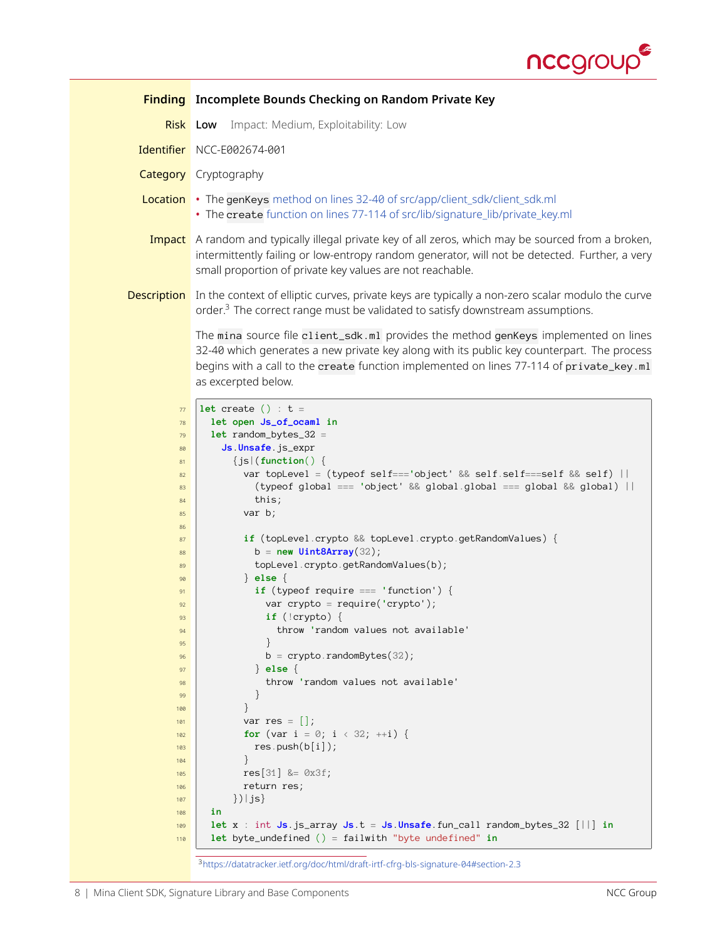

<span id="page-7-0"></span>

|                                                                                                                                                                    | <b>Finding</b> Incomplete Bounds Checking on Random Private Key                                                                                                                                                                                                                                                                                                                                                                                                                                                                                                                                                                                                                                                                                                                                                    |
|--------------------------------------------------------------------------------------------------------------------------------------------------------------------|--------------------------------------------------------------------------------------------------------------------------------------------------------------------------------------------------------------------------------------------------------------------------------------------------------------------------------------------------------------------------------------------------------------------------------------------------------------------------------------------------------------------------------------------------------------------------------------------------------------------------------------------------------------------------------------------------------------------------------------------------------------------------------------------------------------------|
| <b>Risk Low</b>                                                                                                                                                    | Impact: Medium, Exploitability: Low                                                                                                                                                                                                                                                                                                                                                                                                                                                                                                                                                                                                                                                                                                                                                                                |
|                                                                                                                                                                    | Identifier NCC-E002674-001                                                                                                                                                                                                                                                                                                                                                                                                                                                                                                                                                                                                                                                                                                                                                                                         |
|                                                                                                                                                                    | <b>Category</b> Cryptography                                                                                                                                                                                                                                                                                                                                                                                                                                                                                                                                                                                                                                                                                                                                                                                       |
| Location                                                                                                                                                           | • The genKeys method on lines 32-40 of src/app/client_sdk/client_sdk.ml<br>• The create function on lines 77-114 of src/lib/signature_lib/private_key.ml                                                                                                                                                                                                                                                                                                                                                                                                                                                                                                                                                                                                                                                           |
|                                                                                                                                                                    | Impact A random and typically illegal private key of all zeros, which may be sourced from a broken,<br>intermittently failing or low-entropy random generator, will not be detected. Further, a very<br>small proportion of private key values are not reachable.                                                                                                                                                                                                                                                                                                                                                                                                                                                                                                                                                  |
|                                                                                                                                                                    | <b>Description</b> In the context of elliptic curves, private keys are typically a non-zero scalar modulo the curve<br>order. <sup>3</sup> The correct range must be validated to satisfy downstream assumptions.                                                                                                                                                                                                                                                                                                                                                                                                                                                                                                                                                                                                  |
|                                                                                                                                                                    | The mina source file client_sdk.ml provides the method genKeys implemented on lines<br>32-40 which generates a new private key along with its public key counterpart. The process<br>begins with a call to the create function implemented on lines 77-114 of private_key.ml<br>as excerpted below.                                                                                                                                                                                                                                                                                                                                                                                                                                                                                                                |
| 77<br>78<br>79<br>80<br>81<br>82<br>83<br>84<br>85<br>86<br>87<br>88<br>89<br>90<br>91<br>92<br>93<br>94<br>95<br>96<br>97<br>98<br>99<br>100<br>101<br>102<br>103 | let create () : $t =$<br>let open Js_of_ocaml in<br>$let random_bytes_32 =$<br>Js Unsafe js_expr<br>${js}$ (function() {<br>var topLevel = (typeof self==='object' && self.self===self && self)    <br>(typeof global === 'object' && global.global === global && global)   <br>this;<br>var $b$ ;<br>if (topLevel.crypto && topLevel.crypto.getRandomValues) {<br>$b = new Unit8Array(32);$<br>topLevel.crypto.getRandomValues(b);<br>$\}$ else {<br>if (typeof require $==$ 'function') {<br>var crypto = require('crypto');<br>if $(!crypto) { }$<br>throw 'random values not available'<br>$\left\{ \right\}$<br>$b =$ crypto.randomBytes(32);<br>$\}$ else $\{$<br>throw 'random values not available'<br>}<br>$\}$<br>var res $=$ $\vert \cdot \vert$ ;<br>for (var i = 0; i < 32; ++i) {<br>res.push(b[i]); |
| 104<br>105<br>106<br>107<br>108<br>109<br>110                                                                                                                      | ł<br>$res[31]$ &= $0x3f$ ;<br>return res;<br>$\}$ ) $ $ js $\}$<br>in<br>let x : int Js.js_array Js.t = Js.Unsafe.fun_call random_bytes_32 $[  ]$ in<br>let byte_undefined () = failwith "byte undefined" in                                                                                                                                                                                                                                                                                                                                                                                                                                                                                                                                                                                                       |

<span id="page-7-1"></span><https://datatracker.ietf.org/doc/html/draft-irtf-cfrg-bls-signature-04#section-2.3>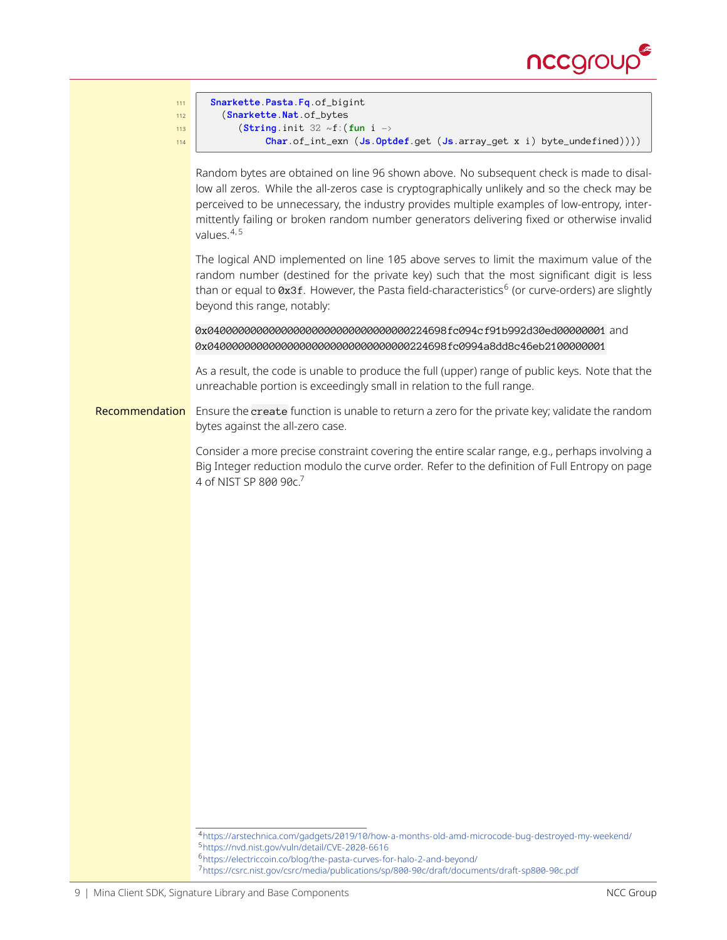



<span id="page-8-1"></span><span id="page-8-0"></span><sup>4</sup><https://arstechnica.com/gadgets/2019/10/how-a-months-old-amd-microcode-bug-destroyed-my-weekend/> <sup>5</sup><https://nvd.nist.gov/vuln/detail/CVE-2020-6616>

<span id="page-8-3"></span><span id="page-8-2"></span><sup>6</sup><https://electriccoin.co/blog/the-pasta-curves-for-halo-2-and-beyond/>

<sup>7</sup><https://csrc.nist.gov/csrc/media/publications/sp/800-90c/draft/documents/draft-sp800-90c.pdf>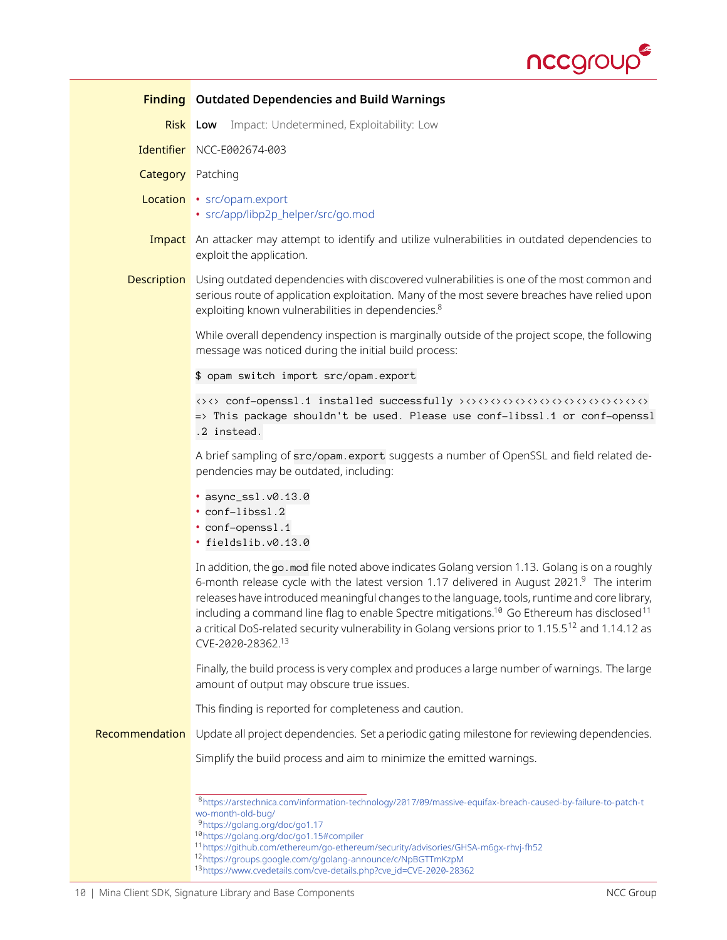

<span id="page-9-6"></span><span id="page-9-5"></span><span id="page-9-4"></span><span id="page-9-3"></span><span id="page-9-2"></span><span id="page-9-1"></span><span id="page-9-0"></span>

|                          | <b>Finding</b> Outdated Dependencies and Build Warnings                                                                                                                                                                                                                                                                                                                                                                                                                                                                                                    |
|--------------------------|------------------------------------------------------------------------------------------------------------------------------------------------------------------------------------------------------------------------------------------------------------------------------------------------------------------------------------------------------------------------------------------------------------------------------------------------------------------------------------------------------------------------------------------------------------|
|                          | Impact: Undetermined, Exploitability: Low<br><b>Risk</b> Low                                                                                                                                                                                                                                                                                                                                                                                                                                                                                               |
|                          | Identifier NCC-E002674-003                                                                                                                                                                                                                                                                                                                                                                                                                                                                                                                                 |
| <b>Category</b> Patching |                                                                                                                                                                                                                                                                                                                                                                                                                                                                                                                                                            |
|                          | Location • src/opam.export<br>· src/app/libp2p_helper/src/go.mod                                                                                                                                                                                                                                                                                                                                                                                                                                                                                           |
|                          | <b>Impact</b> An attacker may attempt to identify and utilize vulnerabilities in outdated dependencies to<br>exploit the application.                                                                                                                                                                                                                                                                                                                                                                                                                      |
| <b>Description</b>       | Using outdated dependencies with discovered vulnerabilities is one of the most common and<br>serious route of application exploitation. Many of the most severe breaches have relied upon<br>exploiting known vulnerabilities in dependencies. <sup>8</sup>                                                                                                                                                                                                                                                                                                |
|                          | While overall dependency inspection is marginally outside of the project scope, the following<br>message was noticed during the initial build process:                                                                                                                                                                                                                                                                                                                                                                                                     |
|                          | \$ opam switch import src/opam.export                                                                                                                                                                                                                                                                                                                                                                                                                                                                                                                      |
|                          | => This package shouldn't be used. Please use conf-libssl.1 or conf-openssl<br>.2 instead.                                                                                                                                                                                                                                                                                                                                                                                                                                                                 |
|                          | A brief sampling of src/opam.export suggests a number of OpenSSL and field related de-<br>pendencies may be outdated, including:                                                                                                                                                                                                                                                                                                                                                                                                                           |
|                          | · async_ssl.v0.13.0<br>• conf-libssl.2<br>· conf-openssl.1<br>· fieldslib.v0.13.0                                                                                                                                                                                                                                                                                                                                                                                                                                                                          |
|                          | In addition, the go . mod file noted above indicates Golang version 1.13. Golang is on a roughly<br>6-month release cycle with the latest version 1.17 delivered in August 2021.9 The interim<br>releases have introduced meaningful changes to the language, tools, runtime and core library,<br>including a command line flag to enable Spectre mitigations. <sup>10</sup> Go Ethereum has disclosed <sup>11</sup><br>a critical DoS-related security vulnerability in Golang versions prior to 1.15.5 <sup>12</sup> and 1.14.12 as<br>CVE-2020-28362.13 |
|                          | Finally, the build process is very complex and produces a large number of warnings. The large<br>amount of output may obscure true issues.                                                                                                                                                                                                                                                                                                                                                                                                                 |
|                          | This finding is reported for completeness and caution.                                                                                                                                                                                                                                                                                                                                                                                                                                                                                                     |
| Recommendation           | Update all project dependencies. Set a periodic gating milestone for reviewing dependencies.                                                                                                                                                                                                                                                                                                                                                                                                                                                               |
|                          | Simplify the build process and aim to minimize the emitted warnings.                                                                                                                                                                                                                                                                                                                                                                                                                                                                                       |
|                          | 8https://arstechnica.com/information-technology/2017/09/massive-equifax-breach-caused-by-failure-to-patch-t<br>wo-month-old-bug/<br><sup>9</sup> https://golang.org/doc/go1.17<br>10https://golang.org/doc/go1.15#compiler<br>11 https://github.com/ethereum/go-ethereum/security/advisories/GHSA-m6gx-rhvj-fh52<br><sup>12</sup> https://groups.google.com/g/golang-announce/c/NpBGTTmKzpM<br>13https://www.cvedetails.com/cve-details.php?cve_id=CVE-2020-28362                                                                                          |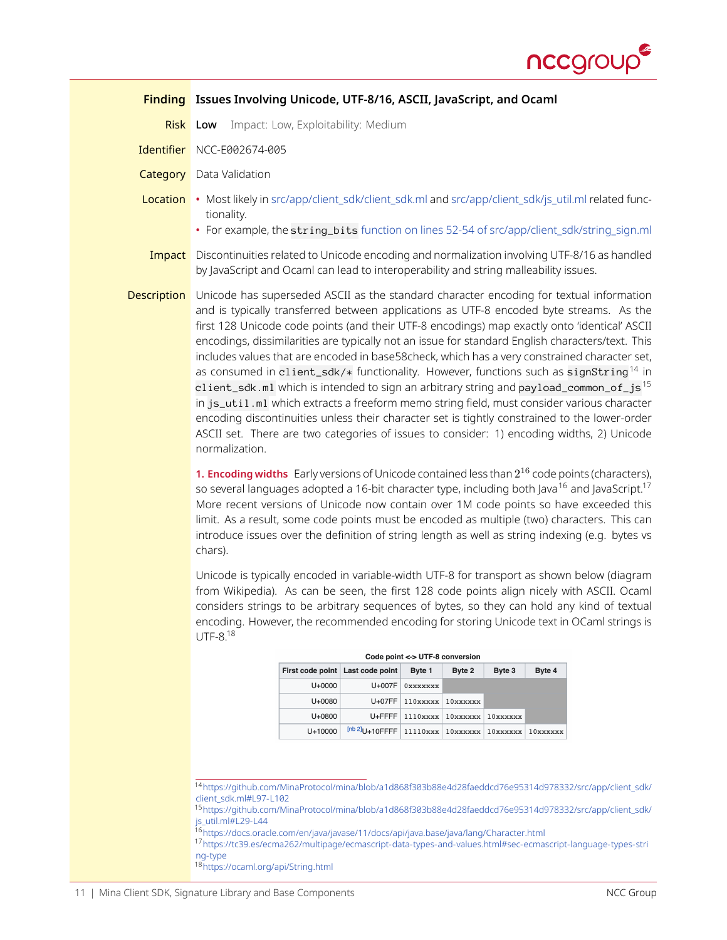

<span id="page-10-0"></span>

|                    | Finding Issues Involving Unicode, UTF-8/16, ASCII, JavaScript, and Ocaml                                                                                                                                                                                                                                                                                                                                                                                                                                                                                                                                                                                                                                                                                                                                                                                                                                                                                                                                        |
|--------------------|-----------------------------------------------------------------------------------------------------------------------------------------------------------------------------------------------------------------------------------------------------------------------------------------------------------------------------------------------------------------------------------------------------------------------------------------------------------------------------------------------------------------------------------------------------------------------------------------------------------------------------------------------------------------------------------------------------------------------------------------------------------------------------------------------------------------------------------------------------------------------------------------------------------------------------------------------------------------------------------------------------------------|
|                    | Impact: Low, Exploitability: Medium<br>Risk Low                                                                                                                                                                                                                                                                                                                                                                                                                                                                                                                                                                                                                                                                                                                                                                                                                                                                                                                                                                 |
|                    | Identifier NCC-E002674-005                                                                                                                                                                                                                                                                                                                                                                                                                                                                                                                                                                                                                                                                                                                                                                                                                                                                                                                                                                                      |
|                    | <b>Category</b> Data Validation                                                                                                                                                                                                                                                                                                                                                                                                                                                                                                                                                                                                                                                                                                                                                                                                                                                                                                                                                                                 |
|                    | Location • Most likely in src/app/client_sdk/client_sdk.ml and src/app/client_sdk/js_util.ml related func-<br>tionality.<br>• For example, the string_bits function on lines 52-54 of src/app/client_sdk/string_sign.ml                                                                                                                                                                                                                                                                                                                                                                                                                                                                                                                                                                                                                                                                                                                                                                                         |
| Impact             | Discontinuities related to Unicode encoding and normalization involving UTF-8/16 as handled<br>by JavaScript and Ocaml can lead to interoperability and string malleability issues.                                                                                                                                                                                                                                                                                                                                                                                                                                                                                                                                                                                                                                                                                                                                                                                                                             |
| <b>Description</b> | Unicode has superseded ASCII as the standard character encoding for textual information<br>and is typically transferred between applications as UTF-8 encoded byte streams. As the<br>first 128 Unicode code points (and their UTF-8 encodings) map exactly onto 'identical' ASCII<br>encodings, dissimilarities are typically not an issue for standard English characters/text. This<br>includes values that are encoded in base58check, which has a very constrained character set,<br>as consumed in client_sdk/* functionality. However, functions such as signString <sup>14</sup> in<br>client_sdk.ml which is intended to sign an arbitrary string and payload_common_of_js <sup>15</sup><br>in js_uti1.ml which extracts a freeform memo string field, must consider various character<br>encoding discontinuities unless their character set is tightly constrained to the lower-order<br>ASCII set. There are two categories of issues to consider: 1) encoding widths, 2) Unicode<br>normalization. |

**1. Encoding widths** Early versions of Unicode contained less than 2 <sup>16</sup> code points (characters), so several languages adopted a [16](#page-10-3)-bit character type, including both Java<sup>16</sup> and JavaScript.<sup>[17](#page-10-4)</sup> More recent versions of Unicode now contain over 1M code points so have exceeded this limit. As a result, some code points must be encoded as multiple (two) characters. This can introduce issues over the definition of string length as well as string indexing (e.g. bytes vs chars).

Unicode is typically encoded in variable-width UTF-8 for transport as shown below (diagram from Wikipedia). As can be seen, the first 128 code points align nicely with ASCII. Ocaml considers strings to be arbitrary sequences of bytes, so they can hold any kind of textual encoding. However, the recommended encoding for storing Unicode text in OCaml strings is  $UTF-8.18$  $UTF-8.18$ 

|                                  |                                                                            | Code point <-> UTF-8 conversion |                         |          |          |
|----------------------------------|----------------------------------------------------------------------------|---------------------------------|-------------------------|----------|----------|
| First code point Last code point |                                                                            | Byte 1                          | Byte 2                  | Byte 3   | Byte 4   |
| $U + 0000$                       | U+007F                                                                     | 0xxxxxxx                        |                         |          |          |
| U+0080                           | $U+07FF$                                                                   | 110xxxxx                        | 10xxxxxx                |          |          |
| U+0800                           | $U + F F F F$                                                              |                                 | $1110xxxx$   $10xxxxxx$ | 10xxxxxx |          |
| $U + 10000$                      | $[$ <sup>nb 2</sup> <sup>]</sup> U+10FFFF   11110xxx   10xxxxxx   10xxxxxx |                                 |                         |          | 10xxxxxx |

|  |  | Code point <-> UTF-8 conversion |  |
|--|--|---------------------------------|--|
|  |  |                                 |  |

<span id="page-10-1"></span><sup>14</sup>[https://github.com/MinaProtocol/mina/blob/a1d868f303b88e4d28faeddcd76e95314d978332/src/app/client\\_sdk/](https://github.com/MinaProtocol/mina/blob/a1d868f303b88e4d28faeddcd76e95314d978332/src/app/client_sdk/client_sdk.ml#L97-L102) [client\\_sdk.ml#L97-L102](https://github.com/MinaProtocol/mina/blob/a1d868f303b88e4d28faeddcd76e95314d978332/src/app/client_sdk/client_sdk.ml#L97-L102)

<span id="page-10-2"></span><sup>15</sup>[https://github.com/MinaProtocol/mina/blob/a1d868f303b88e4d28faeddcd76e95314d978332/src/app/client\\_sdk/](https://github.com/MinaProtocol/mina/blob/a1d868f303b88e4d28faeddcd76e95314d978332/src/app/client_sdk/js_util.ml#L29-L44) [js\\_util.ml#L29-L44](https://github.com/MinaProtocol/mina/blob/a1d868f303b88e4d28faeddcd76e95314d978332/src/app/client_sdk/js_util.ml#L29-L44)

<span id="page-10-4"></span><span id="page-10-3"></span><sup>16</sup><https://docs.oracle.com/en/java/javase/11/docs/api/java.base/java/lang/Character.html>

<sup>17</sup>[https://tc39.es/ecma262/multipage/ecmascript-data-types-and-values.html#sec-ecmascript-language-types-stri](https://tc39.es/ecma262/multipage/ecmascript-data-types-and-values.html#sec-ecmascript-language-types-string-type) [ng-type](https://tc39.es/ecma262/multipage/ecmascript-data-types-and-values.html#sec-ecmascript-language-types-string-type)

<span id="page-10-5"></span><sup>18</sup><https://ocaml.org/api/String.html>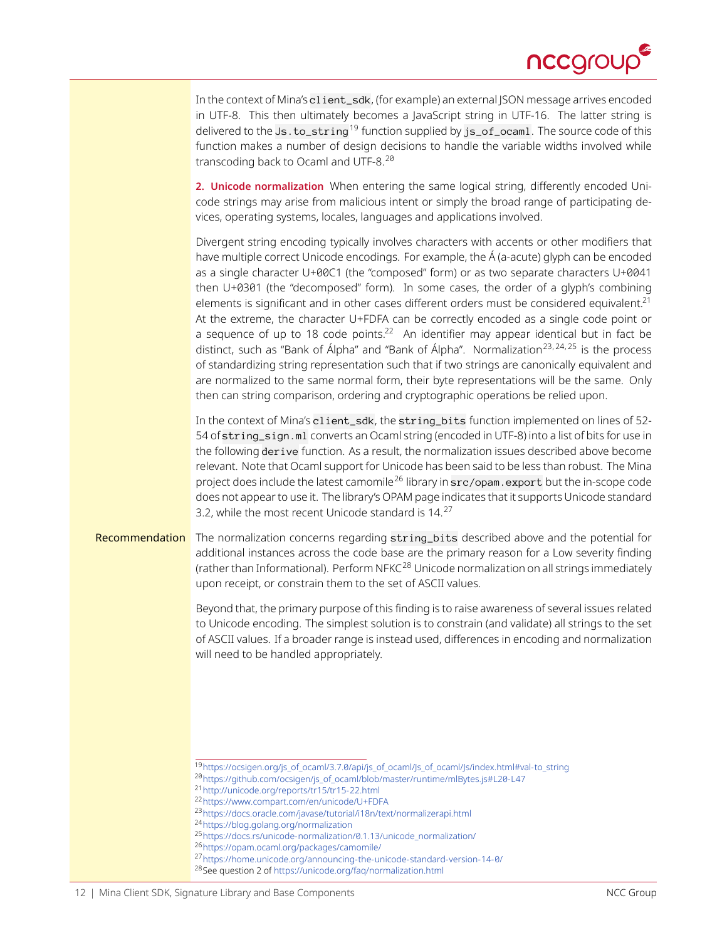

In the context of Mina's client\_sdk, (for example) an external JSON message arrives encoded in UTF-8. This then ultimately becomes a JavaScript string in UTF-16. The latter string is delivered to the Js . to\_string<sup>[19](#page-11-0)</sup> function supplied by js\_of\_ocaml. The source code of this function makes a number of design decisions to handle the variable widths involved while transcoding back to Ocaml and UTF-8.<sup>[20](#page-11-1)</sup>

**2. Unicode normalization** When entering the same logical string, differently encoded Unicode strings may arise from malicious intent or simply the broad range of participating devices, operating systems, locales, languages and applications involved.

Divergent string encoding typically involves characters with accents or other modifiers that have multiple correct Unicode encodings. For example, the Á (a-acute) glyph can be encoded as a single character U+00C1 (the "composed" form) or as two separate characters U+0041 then U+0301 (the "decomposed" form). In some cases, the order of a glyph's combining elements is significant and in other cases different orders must be considered equivalent.<sup>[21](#page-11-2)</sup> At the extreme, the character U+FDFA can be correctly encoded as a single code point or a sequence of up to 18 code points.<sup>[22](#page-11-3)</sup> An identifier may appear identical but in fact be distinct, such as "Bank of Álpha" and "Bank of Álpha". Normalization<sup>[23](#page-11-4),[24](#page-11-5),[25](#page-11-6)</sup> is the process of standardizing string representation such that if two strings are canonically equivalent and are normalized to the same normal form, their byte representations will be the same. Only then can string comparison, ordering and cryptographic operations be relied upon.

In the context of Mina's client\_sdk, the string\_bits function implemented on lines of 52- 54 of string\_sign.ml converts an Ocaml string (encoded in UTF-8) into a list of bits for use in the following derive function. As a result, the normalization issues described above become relevant. Note that Ocaml support for Unicode has been said to be less than robust. The Mina project does include the latest camomile<sup>[26](#page-11-7)</sup> library in  $src/opam$ . export but the in-scope code does not appear to use it. The library's OPAM page indicates that it supports Unicode standard 3.2, while the most recent Unicode standard is  $14.<sup>27</sup>$  $14.<sup>27</sup>$  $14.<sup>27</sup>$ 

### Recommendation The normalization concerns regarding string\_bits described above and the potential for additional instances across the code base are the primary reason for a Low severity finding (rather than Informational). Perform NFKC<sup>[28](#page-11-9)</sup> Unicode normalization on all strings immediately upon receipt, or constrain them to the set of ASCII values.

Beyond that, the primary purpose of this finding is to raise awareness of several issues related to Unicode encoding. The simplest solution is to constrain (and validate) all strings to the set of ASCII values. If a broader range is instead used, differences in encoding and normalization will need to be handled appropriately.

<span id="page-11-1"></span><span id="page-11-0"></span><sup>19</sup>[https://ocsigen.org/js\\_of\\_ocaml/3.7.0/api/js\\_of\\_ocaml/Js\\_of\\_ocaml/Js/index.html#val-to\\_string](https://ocsigen.org/js_of_ocaml/3.7.0/api/js_of_ocaml/Js_of_ocaml/Js/index.html#val-to_string)

<sup>20</sup>[https://github.com/ocsigen/js\\_of\\_ocaml/blob/master/runtime/mlBytes.js#L20-L47](https://github.com/ocsigen/js_of_ocaml/blob/master/runtime/mlBytes.js#L20-L47)

<span id="page-11-2"></span><sup>21</sup><http://unicode.org/reports/tr15/tr15-22.html>

<span id="page-11-3"></span><sup>22</sup><https://www.compart.com/en/unicode/U+FDFA>

<span id="page-11-4"></span><sup>23</sup><https://docs.oracle.com/javase/tutorial/i18n/text/normalizerapi.html>

<span id="page-11-5"></span><sup>24</sup><https://blog.golang.org/normalization>

<span id="page-11-6"></span><sup>25</sup>[https://docs.rs/unicode-normalization/0.1.13/unicode\\_normalization/](https://docs.rs/unicode-normalization/0.1.13/unicode_normalization/)

<span id="page-11-7"></span><sup>26</sup><https://opam.ocaml.org/packages/camomile/>

<span id="page-11-8"></span><sup>27</sup><https://home.unicode.org/announcing-the-unicode-standard-version-14-0/>

<span id="page-11-9"></span><sup>28</sup>See question 2 of <https://unicode.org/faq/normalization.html>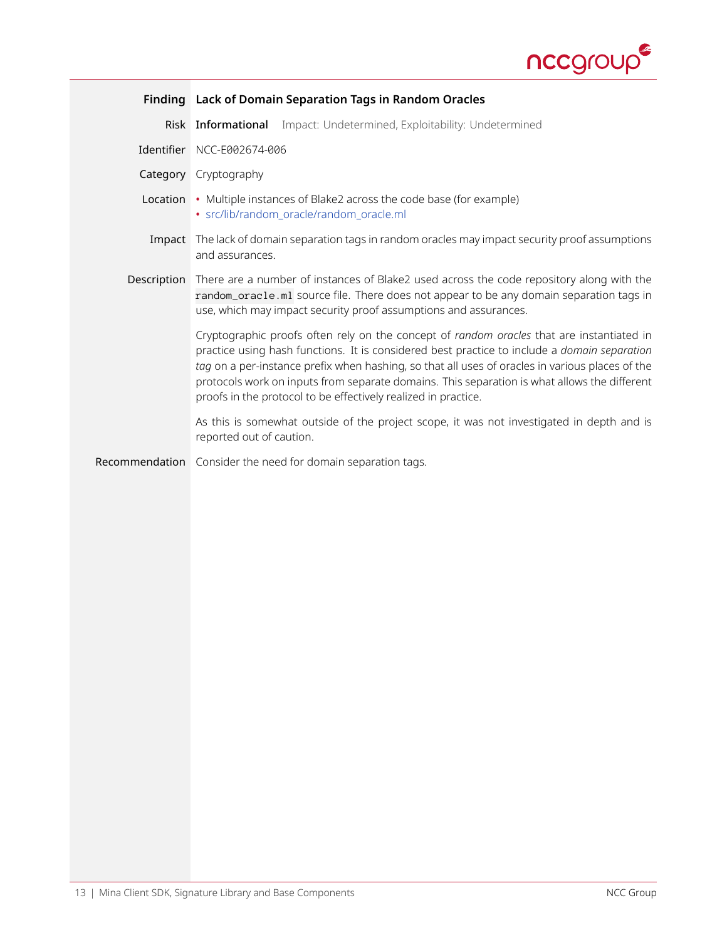

<span id="page-12-0"></span>

|             | Finding Lack of Domain Separation Tags in Random Oracles                                                                                                                                                                                                                                                                                                                                                                                                       |
|-------------|----------------------------------------------------------------------------------------------------------------------------------------------------------------------------------------------------------------------------------------------------------------------------------------------------------------------------------------------------------------------------------------------------------------------------------------------------------------|
|             | Impact: Undetermined, Exploitability: Undetermined<br>Risk Informational                                                                                                                                                                                                                                                                                                                                                                                       |
|             | Identifier NCC-E002674-006                                                                                                                                                                                                                                                                                                                                                                                                                                     |
|             | Category Cryptography                                                                                                                                                                                                                                                                                                                                                                                                                                          |
|             | Location • Multiple instances of Blake2 across the code base (for example)<br>· src/lib/random_oracle/random_oracle.ml                                                                                                                                                                                                                                                                                                                                         |
|             | Impact The lack of domain separation tags in random oracles may impact security proof assumptions<br>and assurances.                                                                                                                                                                                                                                                                                                                                           |
| Description | There are a number of instances of Blake2 used across the code repository along with the<br>random_oracle.ml source file. There does not appear to be any domain separation tags in<br>use, which may impact security proof assumptions and assurances.                                                                                                                                                                                                        |
|             | Cryptographic proofs often rely on the concept of random oracles that are instantiated in<br>practice using hash functions. It is considered best practice to include a domain separation<br>tag on a per-instance prefix when hashing, so that all uses of oracles in various places of the<br>protocols work on inputs from separate domains. This separation is what allows the different<br>proofs in the protocol to be effectively realized in practice. |
|             | As this is somewhat outside of the project scope, it was not investigated in depth and is<br>reported out of caution.                                                                                                                                                                                                                                                                                                                                          |
|             | Recommendation Consider the need for domain separation tags.                                                                                                                                                                                                                                                                                                                                                                                                   |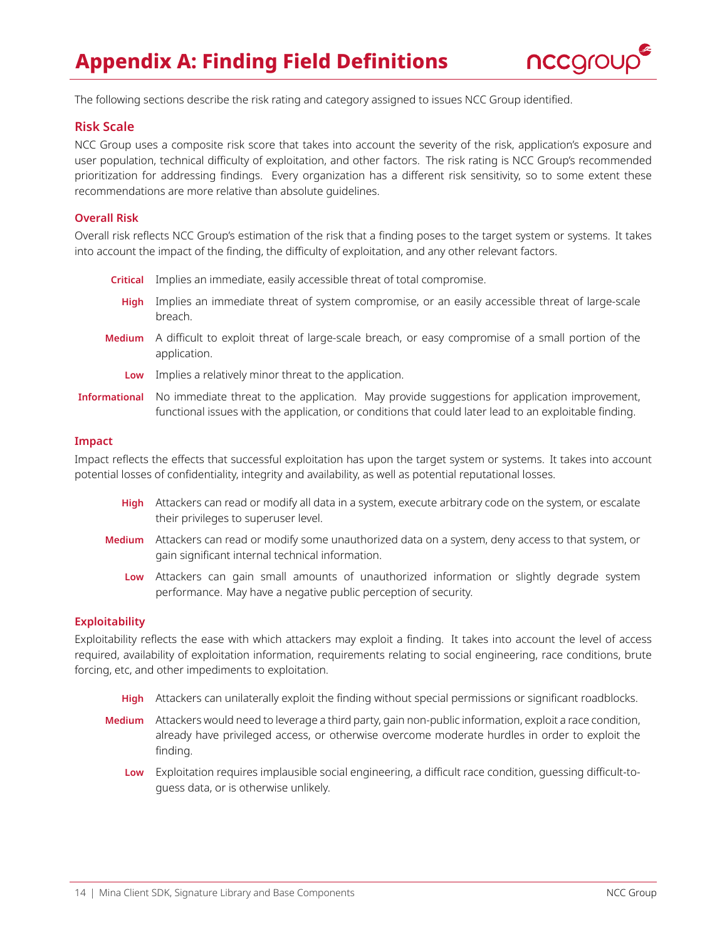

<span id="page-13-0"></span>The following sections describe the risk rating and category assigned to issues NCC Group identified.

### **Risk Scale**

NCC Group uses a composite risk score that takes into account the severity of the risk, application's exposure and user population, technical difficulty of exploitation, and other factors. The risk rating is NCC Group's recommended prioritization for addressing findings. Every organization has a different risk sensitivity, so to some extent these recommendations are more relative than absolute guidelines.

### **Overall Risk**

Overall risk reflects NCC Group's estimation of the risk that a finding poses to the target system or systems. It takes into account the impact of the finding, the difficulty of exploitation, and any other relevant factors.

- **Critical** Implies an immediate, easily accessible threat of total compromise.
- **High** Implies an immediate threat of system compromise, or an easily accessible threat of large-scale breach.
- **Medium** A difficult to exploit threat of large-scale breach, or easy compromise of a small portion of the application.
	- **Low** Implies a relatively minor threat to the application.
- **Informational** No immediate threat to the application. May provide suggestions for application improvement, functional issues with the application, or conditions that could later lead to an exploitable finding.

### **Impact**

Impact reflects the effects that successful exploitation has upon the target system or systems. It takes into account potential losses of confidentiality, integrity and availability, as well as potential reputational losses.

- **High** Attackers can read or modify all data in a system, execute arbitrary code on the system, or escalate their privileges to superuser level.
- **Medium** Attackers can read or modify some unauthorized data on a system, deny access to that system, or gain significant internal technical information.
	- Low Attackers can gain small amounts of unauthorized information or slightly degrade system performance. May have a negative public perception of security.

### **Exploitability**

Exploitability reflects the ease with which attackers may exploit a finding. It takes into account the level of access required, availability of exploitation information, requirements relating to social engineering, race conditions, brute forcing, etc, and other impediments to exploitation.

- **High** Attackers can unilaterally exploit the finding without special permissions or significant roadblocks.
- **Medium** Attackers would need to leverage a third party, gain non-public information, exploit a race condition, already have privileged access, or otherwise overcome moderate hurdles in order to exploit the finding.
	- **Low** Exploitation requires implausible social engineering, a difficult race condition, guessing difficult-toguess data, or is otherwise unlikely.